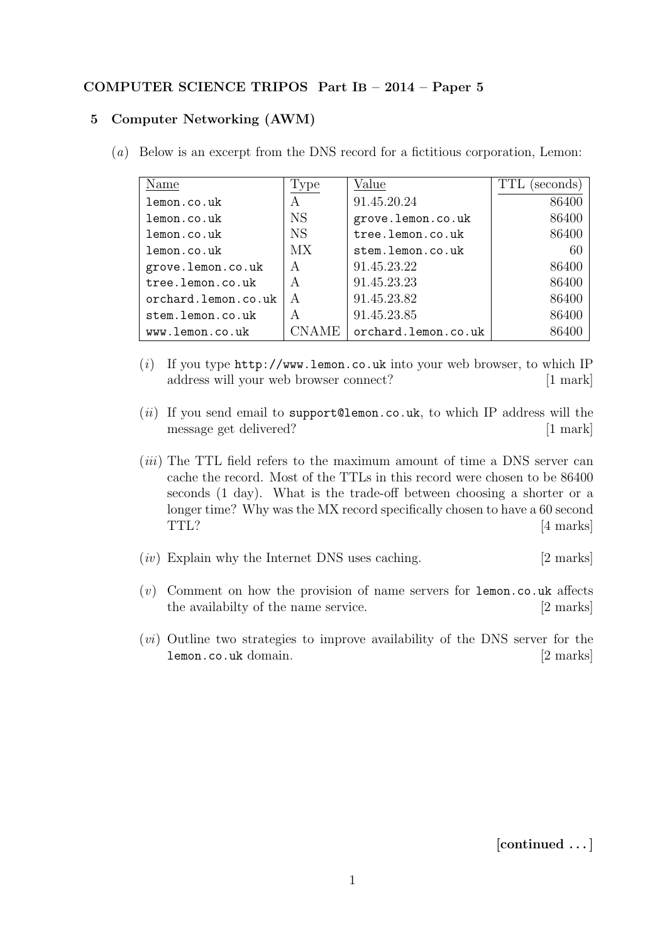## COMPUTER SCIENCE TRIPOS Part IB – 2014 – Paper 5

## 5 Computer Networking (AWM)

(a) Below is an excerpt from the DNS record for a fictitious corporation, Lemon:

| Name                | Type      | Value               | TTL<br>(seconds) |
|---------------------|-----------|---------------------|------------------|
| lemon.co.uk         | A         | 91.45.20.24         | 86400            |
| lemon.co.uk         | <b>NS</b> | grove.lemon.co.uk   | 86400            |
| lemon.co.uk         | <b>NS</b> | tree.lemon.co.uk    | 86400            |
| lemon.co.uk         | MX        | stem.lemon.co.uk    | 60               |
| grove.lemon.co.uk   | A         | 91.45.23.22         | 86400            |
| tree.lemon.co.uk    | A         | 91.45.23.23         | 86400            |
| orchard.lemon.co.uk | A         | 91.45.23.82         | 86400            |
| stem.lemon.co.uk    | A         | 91.45.23.85         | 86400            |
| www.lemon.co.uk     | CNAME     | orchard.lemon.co.uk |                  |

- (i) If you type  $http://www.lemon.co.uk into your web browser, to which IP$ address will your web browser connect? [1 mark]
- (ii) If you send email to support@lemon.co.uk, to which IP address will the message get delivered? [1 mark]
- $(iii)$  The TTL field refers to the maximum amount of time a DNS server can cache the record. Most of the TTLs in this record were chosen to be 86400 seconds (1 day). What is the trade-off between choosing a shorter or a longer time? Why was the MX record specifically chosen to have a 60 second TTL? [4 marks]
- $(iv)$  Explain why the Internet DNS uses caching. [2 marks]
- $(v)$  Comment on how the provision of name servers for lemon.co.uk affects the availabilty of the name service. [2 marks]
- (vi) Outline two strategies to improve availability of the DNS server for the lemon.co.uk domain. [2 marks]

[continued . . . ]